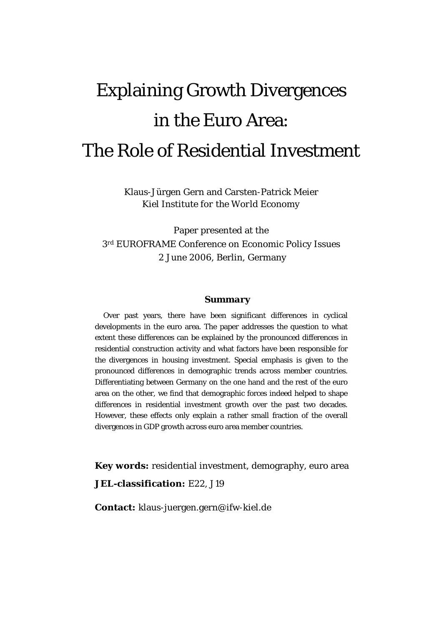# Explaining Growth Divergences in the Euro Area: The Role of Residential Investment

Klaus-Jürgen Gern and Carsten-Patrick Meier *Kiel Institute for the World Economy* 

Paper presented at the 3rd EUROFRAME Conference on Economic Policy Issues 2 June 2006, Berlin, Germany

#### *Summary*

Over past years, there have been significant differences in cyclical developments in the euro area. The paper addresses the question to what extent these differences can be explained by the pronounced differences in residential construction activity and what factors have been responsible for the divergences in housing investment. Special emphasis is given to the pronounced differences in demographic trends across member countries. Differentiating between Germany on the one hand and the rest of the euro area on the other, we find that demographic forces indeed helped to shape differences in residential investment growth over the past two decades. However, these effects only explain a rather small fraction of the overall divergences in GDP growth across euro area member countries.

**Key words:** residential investment, demography, euro area **JEL-classification:** E22, J19

**Contact:** klaus-juergen.gern@ifw-kiel.de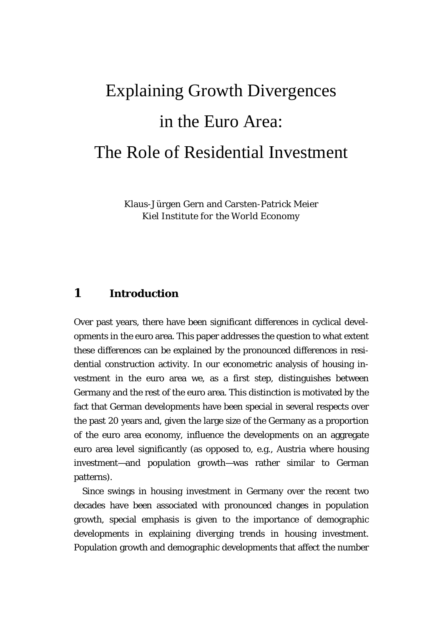# Explaining Growth Divergences in the Euro Area: The Role of Residential Investment

Klaus-Jürgen Gern and Carsten-Patrick Meier *Kiel Institute for the World Economy* 

## **1 Introduction**

Over past years, there have been significant differences in cyclical developments in the euro area. This paper addresses the question to what extent these differences can be explained by the pronounced differences in residential construction activity. In our econometric analysis of housing investment in the euro area we, as a first step, distinguishes between Germany and the rest of the euro area. This distinction is motivated by the fact that German developments have been special in several respects over the past 20 years and, given the large size of the Germany as a proportion of the euro area economy, influence the developments on an aggregate euro area level significantly (as opposed to, e.g., Austria where housing investment—and population growth—was rather similar to German patterns).

Since swings in housing investment in Germany over the recent two decades have been associated with pronounced changes in population growth, special emphasis is given to the importance of demographic developments in explaining diverging trends in housing investment. Population growth and demographic developments that affect the number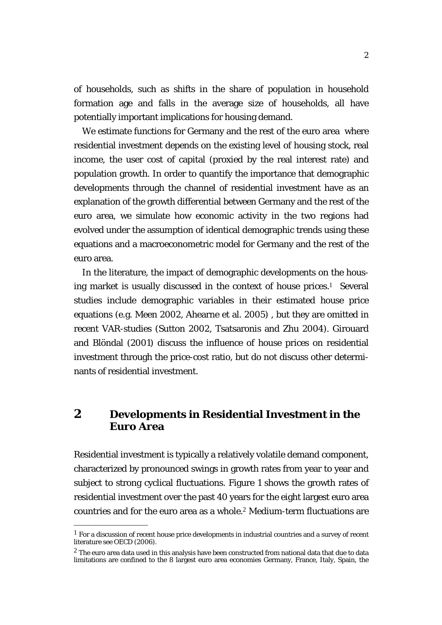<span id="page-3-1"></span>of households, such as shifts in the share of population in household formation age and falls in the average size of households, all have potentially important implications for housing demand.

We estimate functions for Germany and the rest of the euro area where residential investment depends on the existing level of housing stock, real income, the user cost of capital (proxied by the real interest rate) and population growth. In order to quantify the importance that demographic developments through the channel of residential investment have as an explanation of the growth differential between Germany and the rest of the euro area, we simulate how economic activity in the two regions had evolved under the assumption of identical demographic trends using these equations and a macroeconometric model for Germany and the rest of the euro area.

In the literature, the impact of demographic developments on the housing market is usually discussed in the context of house prices.[1](#page-3-0) Several studies include demographic variables in their estimated house price equations (e.g. Meen 2002, Ahearne et al. 2005) , but they are omitted in recent VAR-studies (Sutton 2002, Tsatsaronis and Zhu 2004). Girouard and Blöndal (2001) discuss the influence of house prices on residential investment through the price-cost ratio, but do not discuss other determinants of residential investment.

# **2 Developments in Residential Investment in the Euro Area**

Residential investment is typically a relatively volatile demand component, characterized by pronounced swings in growth rates from year to year and subject to strong cyclical fluctuations. Figure 1 shows the growth rates of residential investment over the past 40 years for the eight largest euro area countries and for the euro area as a whole.[2](#page-3-1) Medium-term fluctuations are

<span id="page-3-0"></span> $1$  For a discussion of recent house price developments in industrial countries and a survey of recent literature see OECD (2006).

 $2$  The euro area data used in this analysis have been constructed from national data that due to data limitations are confined to the 8 largest euro area economies Germany, France, Italy, Spain, the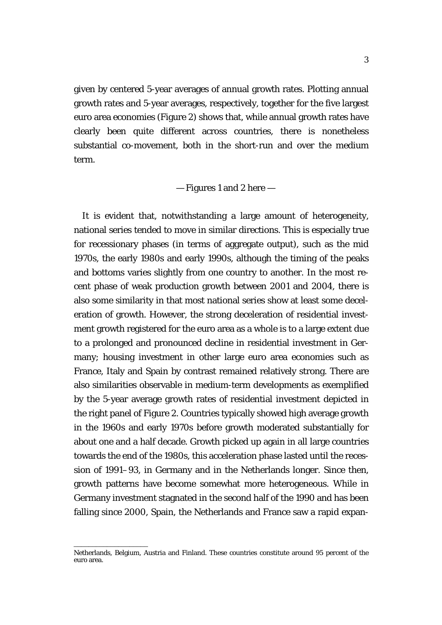given by centered 5-year averages of annual growth rates. Plotting annual growth rates and 5-year averages, respectively, together for the five largest euro area economies (Figure 2) shows that, while annual growth rates have clearly been quite different across countries, there is nonetheless substantial co-movement, both in the short-run and over the medium term.

### — Figures 1 and 2 here —

It is evident that, notwithstanding a large amount of heterogeneity, national series tended to move in similar directions. This is especially true for recessionary phases (in terms of aggregate output), such as the mid 1970s, the early 1980s and early 1990s, although the timing of the peaks and bottoms varies slightly from one country to another. In the most recent phase of weak production growth between 2001 and 2004, there is also some similarity in that most national series show at least some deceleration of growth. However, the strong deceleration of residential investment growth registered for the euro area as a whole is to a large extent due to a prolonged and pronounced decline in residential investment in Germany; housing investment in other large euro area economies such as France, Italy and Spain by contrast remained relatively strong. There are also similarities observable in medium-term developments as exemplified by the 5-year average growth rates of residential investment depicted in the right panel of Figure 2. Countries typically showed high average growth in the 1960s and early 1970s before growth moderated substantially for about one and a half decade. Growth picked up again in all large countries towards the end of the 1980s, this acceleration phase lasted until the recession of 1991–93, in Germany and in the Netherlands longer. Since then, growth patterns have become somewhat more heterogeneous. While in Germany investment stagnated in the second half of the 1990 and has been falling since 2000, Spain, the Netherlands and France saw a rapid expan-

Netherlands, Belgium, Austria and Finland. These countries constitute around 95 percent of the euro area.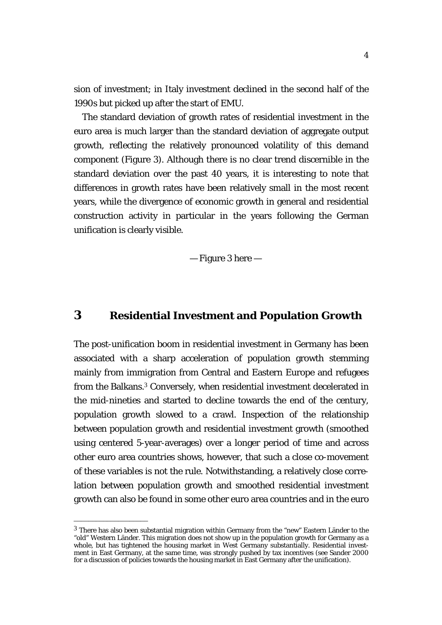sion of investment; in Italy investment declined in the second half of the 1990s but picked up after the start of EMU.

The standard deviation of growth rates of residential investment in the euro area is much larger than the standard deviation of aggregate output growth, reflecting the relatively pronounced volatility of this demand component (Figure 3). Although there is no clear trend discernible in the standard deviation over the past 40 years, it is interesting to note that differences in growth rates have been relatively small in the most recent years, while the divergence of economic growth in general and residential construction activity in particular in the years following the German unification is clearly visible.

— Figure 3 here —

# **3 Residential Investment and Population Growth**

The post-unification boom in residential investment in Germany has been associated with a sharp acceleration of population growth stemming mainly from immigration from Central and Eastern Europe and refugees from the Balkans.[3](#page-5-0) Conversely, when residential investment decelerated in the mid-nineties and started to decline towards the end of the century, population growth slowed to a crawl. Inspection of the relationship between population growth and residential investment growth (smoothed using centered 5-year-averages) over a longer period of time and across other euro area countries shows, however, that such a close co-movement of these variables is not the rule. Notwithstanding, a relatively close correlation between population growth and smoothed residential investment growth can also be found in some other euro area countries and in the euro

<span id="page-5-0"></span> $3$  There has also been substantial migration within Germany from the "new" Eastern Länder to the "old" Western Länder. This migration does not show up in the population growth for Germany as a whole, but has tightened the housing market in West Germany substantially. Residential investment in East Germany, at the same time, was strongly pushed by tax incentives (see Sander 2000 for a discussion of policies towards the housing market in East Germany after the unification).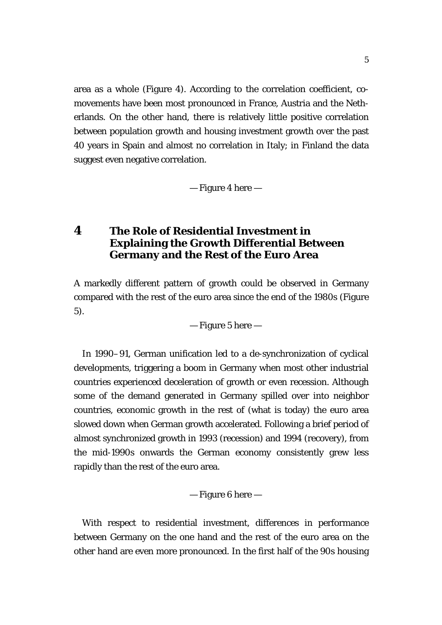area as a whole (Figure 4). According to the correlation coefficient, comovements have been most pronounced in France, Austria and the Netherlands. On the other hand, there is relatively little positive correlation between population growth and housing investment growth over the past 40 years in Spain and almost no correlation in Italy; in Finland the data suggest even negative correlation.

— Figure 4 here —

# **4 The Role of Residential Investment in Explaining the Growth Differential Between Germany and the Rest of the Euro Area**

A markedly different pattern of growth could be observed in Germany compared with the rest of the euro area since the end of the 1980s (Figure 5).

— Figure 5 here —

In 1990–91, German unification led to a de-synchronization of cyclical developments, triggering a boom in Germany when most other industrial countries experienced deceleration of growth or even recession. Although some of the demand generated in Germany spilled over into neighbor countries, economic growth in the rest of (what is today) the euro area slowed down when German growth accelerated. Following a brief period of almost synchronized growth in 1993 (recession) and 1994 (recovery), from the mid-1990s onwards the German economy consistently grew less rapidly than the rest of the euro area.

— Figure 6 here —

With respect to residential investment, differences in performance between Germany on the one hand and the rest of the euro area on the other hand are even more pronounced. In the first half of the 90s housing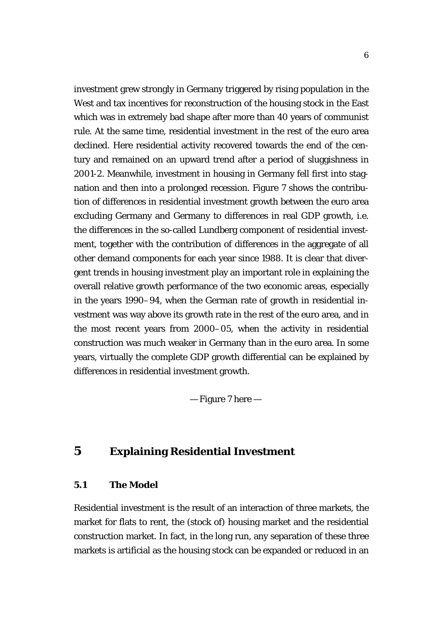investment grew strongly in Germany triggered by rising population in the West and tax incentives for reconstruction of the housing stock in the East which was in extremely bad shape after more than 40 years of communist rule. At the same time, residential investment in the rest of the euro area declined. Here residential activity recovered towards the end of the century and remained on an upward trend after a period of sluggishness in 2001-2. Meanwhile, investment in housing in Germany fell first into stagnation and then into a prolonged recession. Figure 7 shows the contribution of differences in residential investment growth between the euro area excluding Germany and Germany to differences in real GDP growth, i.e. the differences in the so-called Lundberg component of residential investment, together with the contribution of differences in the aggregate of all other demand components for each year since 1988. It is clear that divergent trends in housing investment play an important role in explaining the overall relative growth performance of the two economic areas, especially in the years 1990–94, when the German rate of growth in residential investment was way above its growth rate in the rest of the euro area, and in the most recent years from 2000–05, when the activity in residential construction was much weaker in Germany than in the euro area. In some years, virtually the complete GDP growth differential can be explained by differences in residential investment growth.

— Figure 7 here —

# **5 Explaining Residential Investment**

## **5.1 The Model**

Residential investment is the result of an interaction of three markets, the market for flats to rent, the (stock of) housing market and the residential construction market. In fact, in the long run, any separation of these three markets is artificial as the housing stock can be expanded or reduced in an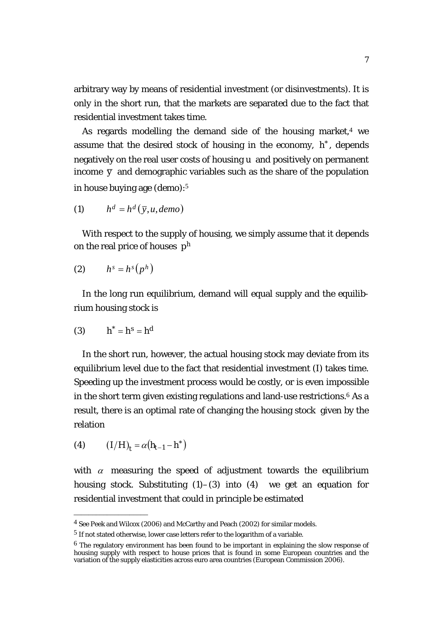arbitrary way by means of residential investment (or disinvestments). It is only in the short run, that the markets are separated due to the fact that residential investment takes time.

As regards modelling the demand side of the housing market, $4$  we assume that the desired stock of housing in the economy,  $h^*$ , depends negatively on the real user costs of housing *u* and positively on permanent income  $\bar{y}$  and demographic variables such as the share of the population in house buying age (*demo*):[5](#page-8-1)

$$
(1) \qquad h^d = h^d(\bar{y}, u, demo)
$$

With respect to the supply of housing, we simply assume that it depends on the real price of houses  $p^h$ 

$$
(2) \qquad h^s = h^s(p^h)
$$

In the long run equilibrium, demand will equal supply and the equilibrium housing stock is

$$
(3) \qquad h^* = h^s = h^d
$$

In the short run, however, the actual housing stock may deviate from its equilibrium level due to the fact that residential investment (I) takes time. Speeding up the investment process would be costly, or is even impossible in the short term given existing regulations and land-use restrictions.[6](#page-8-2) As a result, there is an optimal rate of changing the housing stock given by the relation

(4) 
$$
(I/H)_t = \alpha (h_{t-1} - h^*)
$$

\_\_\_\_\_\_\_\_\_\_\_\_\_\_\_\_\_\_\_\_

with  $\alpha$  measuring the speed of adjustment towards the equilibrium housing stock. Substituting  $(1)$ – $(3)$  into  $(4)$  we get an equation for residential investment that could in principle be estimated

<span id="page-8-0"></span><sup>4</sup> See Peek and Wilcox (2006) and McCarthy and Peach (2002) for similar models.

<span id="page-8-1"></span><sup>5</sup> If not stated otherwise, lower case letters refer to the logarithm of a variable.

<span id="page-8-2"></span> $6$  The regulatory environment has been found to be important in explaining the slow response of housing supply with respect to house prices that is found in some European countries and the variation of the supply elasticities across euro area countries (European Commission 2006).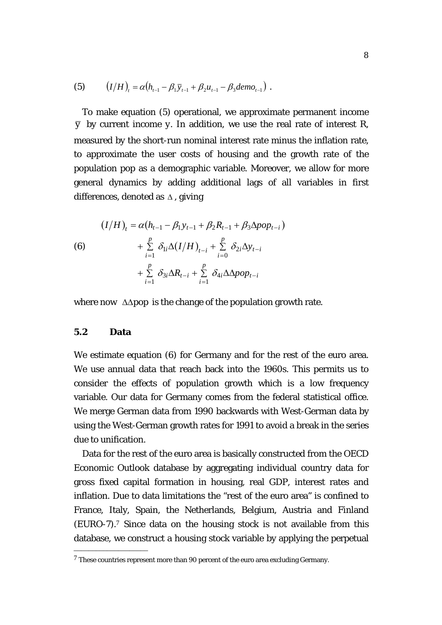(5) 
$$
(I/H)_t = \alpha (h_{t-1} - \beta_1 \bar{y}_{t-1} + \beta_2 u_{t-1} - \beta_3 dem_{t-1}).
$$

To make equation (5) operational, we approximate permanent income  $\overline{y}$  by current income *y*. In addition, we use the real rate of interest *R*, measured by the short-run nominal interest rate minus the inflation rate, to approximate the user costs of housing and the growth rate of the population *pop* as a demographic variable. Moreover, we allow for more general dynamics by adding additional lags of all variables in first differences, denoted as ∆ , giving

(6)  
\n
$$
(I/H)_t = \alpha (h_{t-1} - \beta_1 y_{t-1} + \beta_2 R_{t-1} + \beta_3 \Delta pop_{t-i})
$$
\n
$$
+ \sum_{i=1}^p \delta_{1i} \Delta (I/H)_{t-i} + \sum_{i=0}^p \delta_{2i} \Delta y_{t-i}
$$
\n
$$
+ \sum_{i=1}^p \delta_{3i} \Delta R_{t-i} + \sum_{i=1}^p \delta_{4i} \Delta \Delta pop_{t-i}
$$

where now ∆∆*pop* is the change of the population growth rate.

## **5.2 Data**

\_\_\_\_\_\_\_\_\_\_\_\_\_\_\_\_\_\_\_\_

We estimate equation (6) for Germany and for the rest of the euro area. We use annual data that reach back into the 1960s. This permits us to consider the effects of population growth which is a low frequency variable. Our data for Germany comes from the federal statistical office. We merge German data from 1990 backwards with West-German data by using the West-German growth rates for 1991 to avoid a break in the series due to unification.

Data for the rest of the euro area is basically constructed from the OECD Economic Outlook database by aggregating individual country data for gross fixed capital formation in housing, real GDP, interest rates and inflation. Due to data limitations the "rest of the euro area" is confined to France, Italy, Spain, the Netherlands, Belgium, Austria and Finland (EURO-7).[7](#page-9-0) Since data on the housing stock is not available from this database, we construct a housing stock variable by applying the perpetual

<span id="page-9-0"></span><sup>7</sup> These countries represent more than 90 percent of the euro area excluding Germany.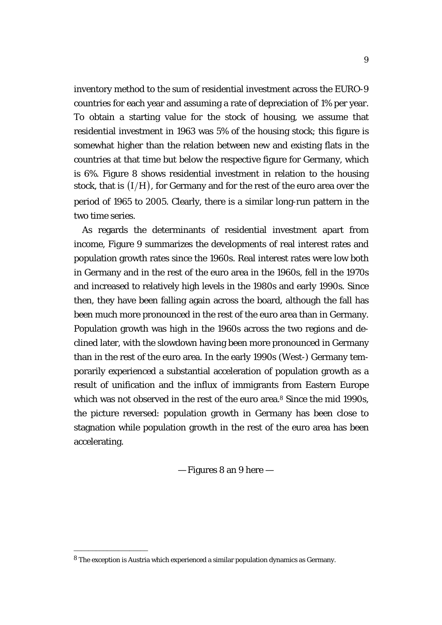inventory method to the sum of residential investment across the EURO-9 countries for each year and assuming a rate of depreciation of 1% per year. To obtain a starting value for the stock of housing, we assume that residential investment in 1963 was 5% of the housing stock; this figure is somewhat higher than the relation between new and existing flats in the countries at that time but below the respective figure for Germany, which is 6%. Figure 8 shows residential investment in relation to the housing stock, that is  $(I/H)$ , for Germany and for the rest of the euro area over the period of 1965 to 2005. Clearly, there is a similar long-run pattern in the two time series.

As regards the determinants of residential investment apart from income, Figure 9 summarizes the developments of real interest rates and population growth rates since the 1960s. Real interest rates were low both in Germany and in the rest of the euro area in the 1960s, fell in the 1970s and increased to relatively high levels in the 1980s and early 1990s. Since then, they have been falling again across the board, although the fall has been much more pronounced in the rest of the euro area than in Germany. Population growth was high in the 1960s across the two regions and declined later, with the slowdown having been more pronounced in Germany than in the rest of the euro area. In the early 1990s (West-) Germany temporarily experienced a substantial acceleration of population growth as a result of unification and the influx of immigrants from Eastern Europe which was not observed in the rest of the euro area.<sup>[8](#page-10-0)</sup> Since the mid 1990s. the picture reversed: population growth in Germany has been close to stagnation while population growth in the rest of the euro area has been accelerating.

— Figures 8 an 9 here —

<span id="page-10-0"></span><sup>8</sup> The exception is Austria which experienced a similar population dynamics as Germany.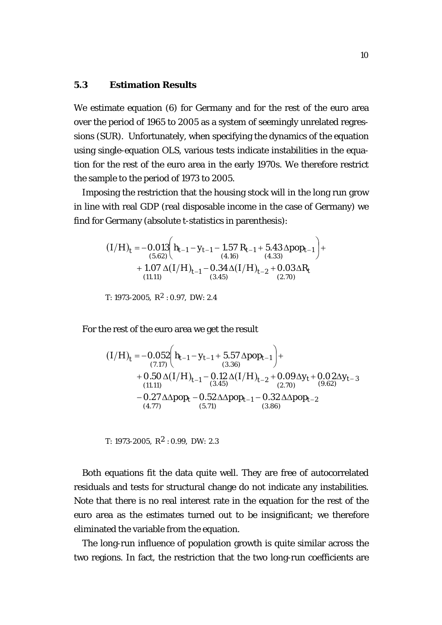## **5.3 Estimation Results**

We estimate equation (6) for Germany and for the rest of the euro area over the period of 1965 to 2005 as a system of seemingly unrelated regressions (SUR). Unfortunately, when specifying the dynamics of the equation using single-equation OLS, various tests indicate instabilities in the equation for the rest of the euro area in the early 1970s. We therefore restrict the sample to the period of 1973 to 2005.

Imposing the restriction that the housing stock will in the long run grow in line with real GDP (real disposable income in the case of Germany) we find for Germany (absolute *t*-statistics in parenthesis):

$$
(I/H)_t = -0.013 \left( h_{t-1} - y_{t-1} - 1.57 R_{t-1} + 5.43 \Delta pop_{t-1} \right) ++ 1.07 \Delta (I/H)_{t-1} - 0.34 \Delta (I/H)_{t-2} + 0.03 \Delta R_t(11.11) (3.45)
$$

 $T: 1973-2005, R^2: 0.97, DW: 2.4$ 

For the rest of the euro area we get the result

$$
(I/H)_t = -0.052 \left( h_{t-1} - y_{t-1} + 5.57 \Delta pop_{t-1} \right) +
$$
  
\n
$$
+ 0.50 \Delta (I/H)_{t-1} - 0.12 \Delta (I/H)_{t-2} + 0.09 \Delta y_t + 0.02 \Delta y_{t-3}
$$
  
\n(11.11)  
\n
$$
- 0.27 \Delta \Delta pop_t - 0.52 \Delta \Delta pop_{t-1} - 0.32 \Delta \Delta pop_{t-2}
$$
  
\n(4.77) (5.71) (3.86)

*T:* 1973-2005,  $R^2$ : 0.99, *DW: 2.3* 

Both equations fit the data quite well. They are free of autocorrelated residuals and tests for structural change do not indicate any instabilities. Note that there is no real interest rate in the equation for the rest of the euro area as the estimates turned out to be insignificant; we therefore eliminated the variable from the equation.

The long-run influence of population growth is quite similar across the two regions. In fact, the restriction that the two long-run coefficients are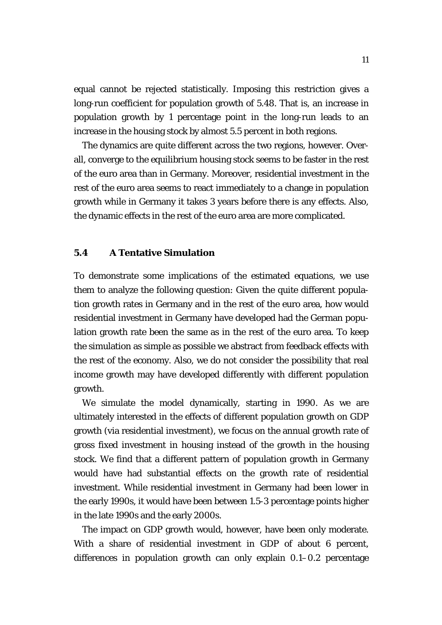equal cannot be rejected statistically. Imposing this restriction gives a long-run coefficient for population growth of 5.48. That is, an increase in population growth by 1 percentage point in the long-run leads to an increase in the housing stock by almost 5.5 percent in both regions.

The dynamics are quite different across the two regions, however. Overall, converge to the equilibrium housing stock seems to be faster in the rest of the euro area than in Germany. Moreover, residential investment in the rest of the euro area seems to react immediately to a change in population growth while in Germany it takes 3 years before there is any effects. Also, the dynamic effects in the rest of the euro area are more complicated.

## **5.4 A Tentative Simulation**

To demonstrate some implications of the estimated equations, we use them to analyze the following question: Given the quite different population growth rates in Germany and in the rest of the euro area, how would residential investment in Germany have developed had the German population growth rate been the same as in the rest of the euro area. To keep the simulation as simple as possible we abstract from feedback effects with the rest of the economy. Also, we do not consider the possibility that real income growth may have developed differently with different population growth.

We simulate the model dynamically, starting in 1990. As we are ultimately interested in the effects of different population growth on GDP growth (via residential investment), we focus on the annual growth rate of gross fixed investment in housing instead of the growth in the housing stock. We find that a different pattern of population growth in Germany would have had substantial effects on the growth rate of residential investment. While residential investment in Germany had been lower in the early 1990s, it would have been between 1.5-3 percentage points higher in the late 1990s and the early 2000s.

The impact on GDP growth would, however, have been only moderate. With a share of residential investment in GDP of about 6 percent, differences in population growth can only explain 0.1–0.2 percentage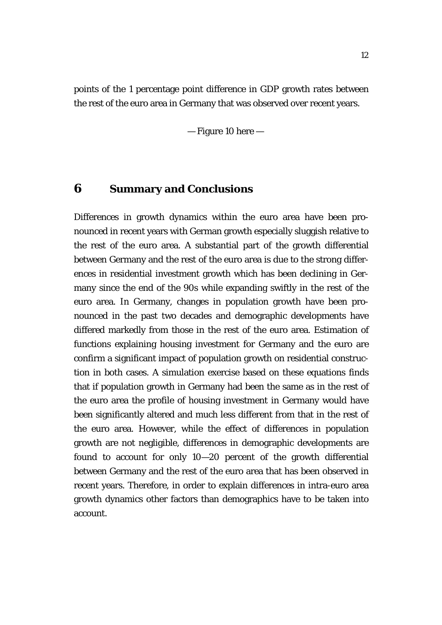points of the 1 percentage point difference in GDP growth rates between the rest of the euro area in Germany that was observed over recent years.

— Figure 10 here —

## **6 Summary and Conclusions**

Differences in growth dynamics within the euro area have been pronounced in recent years with German growth especially sluggish relative to the rest of the euro area. A substantial part of the growth differential between Germany and the rest of the euro area is due to the strong differences in residential investment growth which has been declining in Germany since the end of the 90s while expanding swiftly in the rest of the euro area. In Germany, changes in population growth have been pronounced in the past two decades and demographic developments have differed markedly from those in the rest of the euro area. Estimation of functions explaining housing investment for Germany and the euro are confirm a significant impact of population growth on residential construction in both cases. A simulation exercise based on these equations finds that if population growth in Germany had been the same as in the rest of the euro area the profile of housing investment in Germany would have been significantly altered and much less different from that in the rest of the euro area. However, while the effect of differences in population growth are not negligible, differences in demographic developments are found to account for only 10—20 percent of the growth differential between Germany and the rest of the euro area that has been observed in recent years. Therefore, in order to explain differences in intra-euro area growth dynamics other factors than demographics have to be taken into account.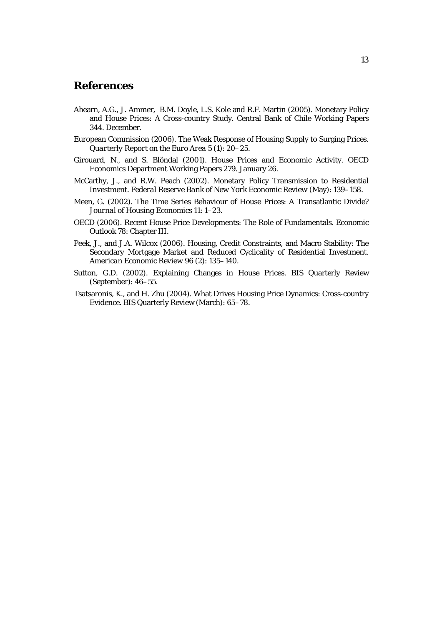## **References**

- Ahearn, A.G., J. Ammer, B.M. Doyle, L.S. Kole and R.F. Martin (2005). Monetary Policy and House Prices: A Cross-country Study. Central Bank of Chile Working Papers 344. December.
- European Commission (2006). The Weak Response of Housing Supply to Surging Prices. *Quarterly Report on the Euro Area* 5 (1): 20–25.
- Girouard, N., and S. Blöndal (2001). House Prices and Economic Activity. OECD Economics Department Working Papers 279. January 26.
- McCarthy, J., and R.W. Peach (2002). Monetary Policy Transmission to Residential Investment. *Federal Reserve Bank of New York Economic Review* (May): 139–158.
- Meen, G. (2002). The Time Series Behaviour of House Prices: A Transatlantic Divide? *Journal of Housing Economics* 11: 1–23.
- OECD (2006). Recent House Price Developments: The Role of Fundamentals. *Economic Outlook* 78: Chapter III.
- Peek, J., and J.A. Wilcox (2006). Housing, Credit Constraints, and Macro Stability: The Secondary Mortgage Market and Reduced Cyclicality of Residential Investment. *American Economic Review* 96 (2): 135–140.
- Sutton, G.D. (2002). Explaining Changes in House Prices. BIS Quarterly Review (September): 46–55.
- Tsatsaronis, K., and H. Zhu (2004). What Drives Housing Price Dynamics: Cross-country Evidence. BIS Quarterly Review (March): 65–78.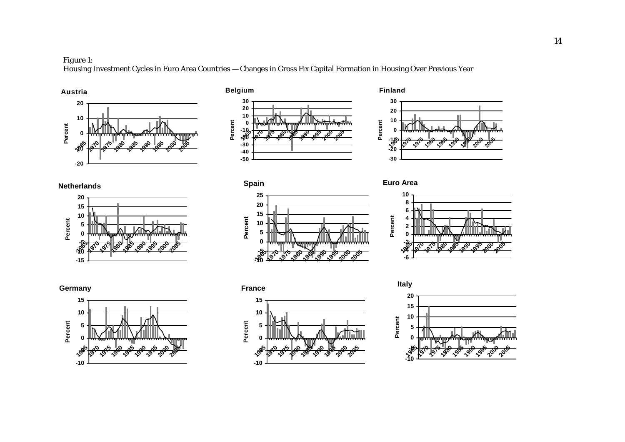### *Figure 1:*

Housing Investment Cycles in Euro Area Countries — Changes in Gross Fix Capital Formation in Housing Over Previous Year







**Netherlands**



**-10 -5 051015 196519701975198019851990199520002005 Perc e n t**



**Euro Area**





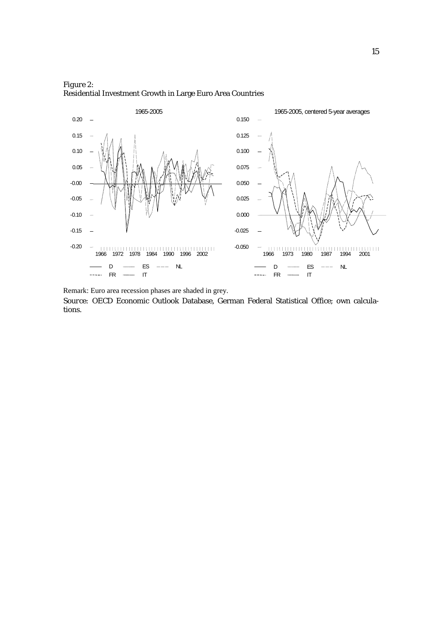

*Figure 2:*  Residential Investment Growth in Large Euro Area Countries

Remark: Euro area recession phases are shaded in grey.

*Source:* OECD Economic Outlook Database, German Federal Statistical Office; own calculations.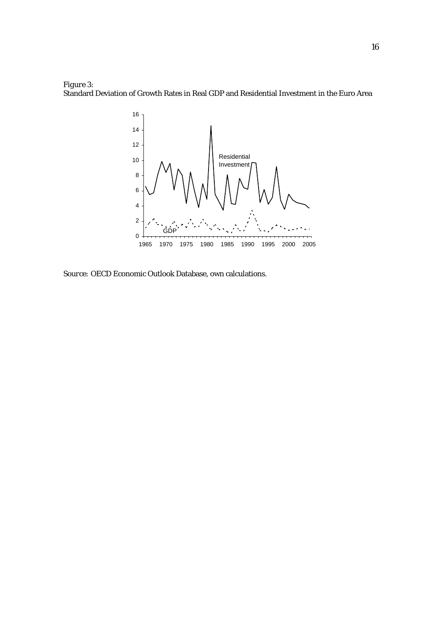



*Source:* OECD Economic Outlook Database, own calculations.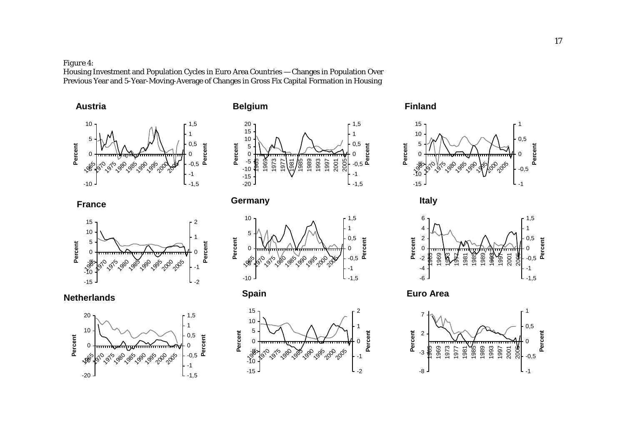*Figure 4:* 

Housing Investment and Population Cycles in Euro Area Countries — Changes in Population Over Previous Year and 5-Year-Moving-Average of Changes in Gross Fix Capital Formation in Housing





















**Finland**







**Euro Area**

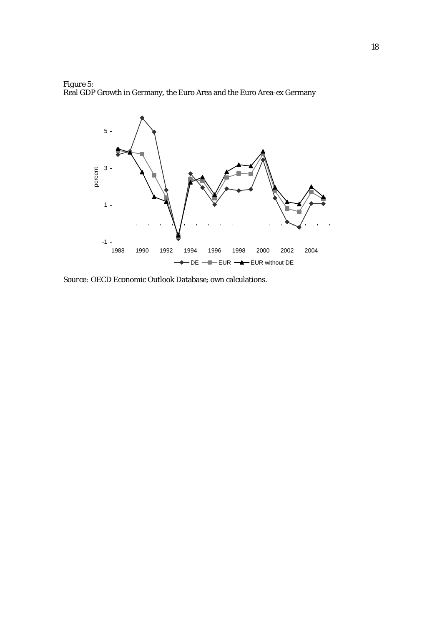



*Source:* OECD Economic Outlook Database; own calculations.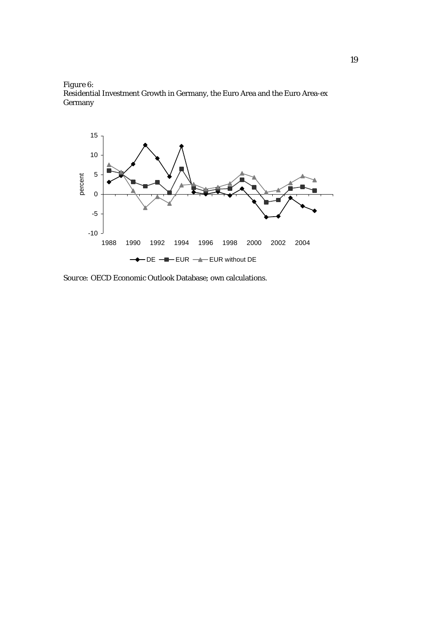



*Source:* OECD Economic Outlook Database; own calculations.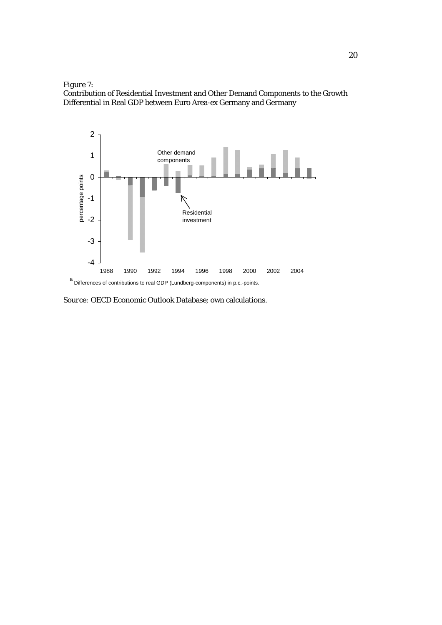

Contribution of Residential Investment and Other Demand Components to the Growth Differential in Real GDP between Euro Area-ex Germany and Germany



*Source:* OECD Economic Outlook Database; own calculations.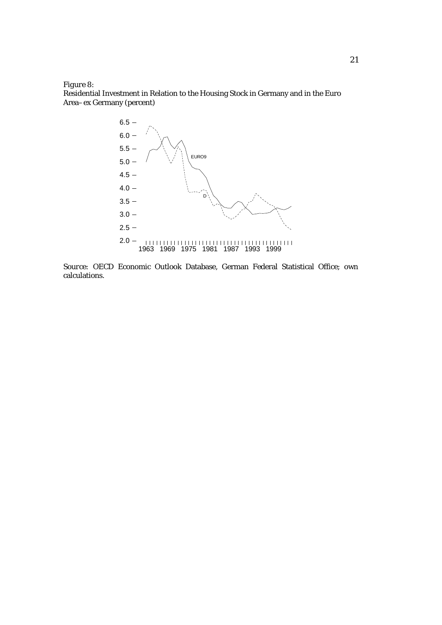*Figure 8:* 

Residential Investment in Relation to the Housing Stock in Germany and in the Euro Area–ex Germany (percent)



*Source:* OECD Economic Outlook Database, German Federal Statistical Office; own calculations.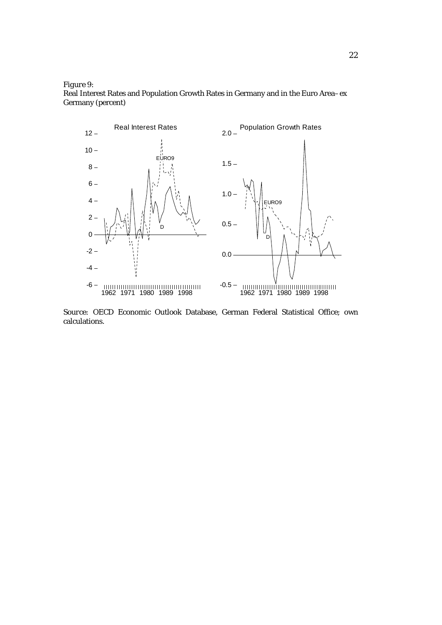*Figure 9:* 

Real Interest Rates and Population Growth Rates in Germany and in the Euro Area–ex Germany (percent)



*Source:* OECD Economic Outlook Database, German Federal Statistical Office; own calculations.